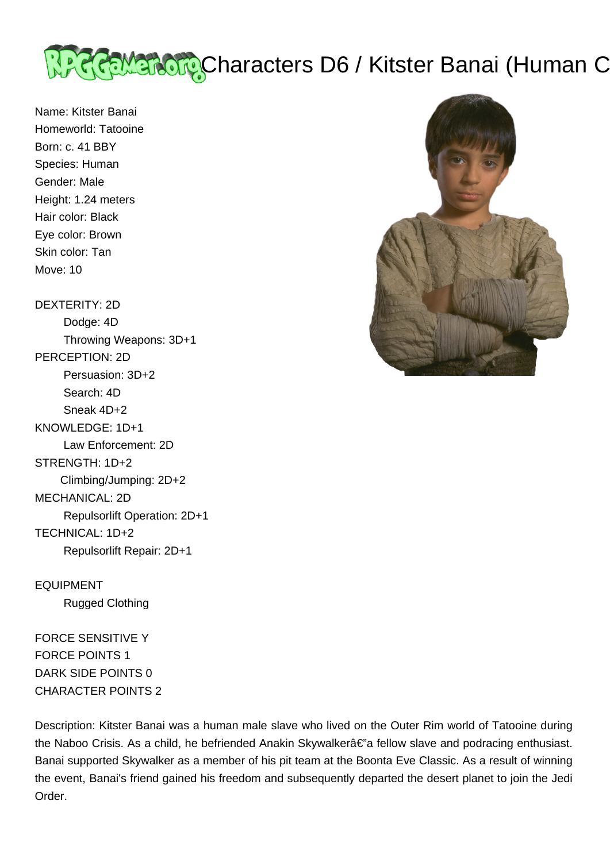

Name: Kitster Banai Homeworld: Tatooine Born: c. 41 BBY Species: Human Gender: Male Height: 1.24 meters Hair color: Black Eye color: Brown Skin color: Tan Move: 10

DEXTERITY: 2D Dodge: 4D Throwing Weapons: 3D+1 PERCEPTION: 2D Persuasion: 3D+2 Search: 4D Sneak 4D+2 KNOWLEDGE: 1D+1 Law Enforcement: 2D STRENGTH: 1D+2 Climbing/Jumping: 2D+2 MECHANICAL: 2D Repulsorlift Operation: 2D+1 TECHNICAL: 1D+2 Repulsorlift Repair: 2D+1

EQUIPMENT Rugged Clothing

FORCE SENSITIVE Y FORCE POINTS 1 DARK SIDE POINTS 0 CHARACTER POINTS 2



Description: Kitster Banai was a human male slave who lived on the Outer Rim world of Tatooine during the Naboo Crisis. As a child, he befriended Anakin Skywalkerâ€"a fellow slave and podracing enthusiast. Banai supported Skywalker as a member of his pit team at the Boonta Eve Classic. As a result of winning the event, Banai's friend gained his freedom and subsequently departed the desert planet to join the Jedi Order.